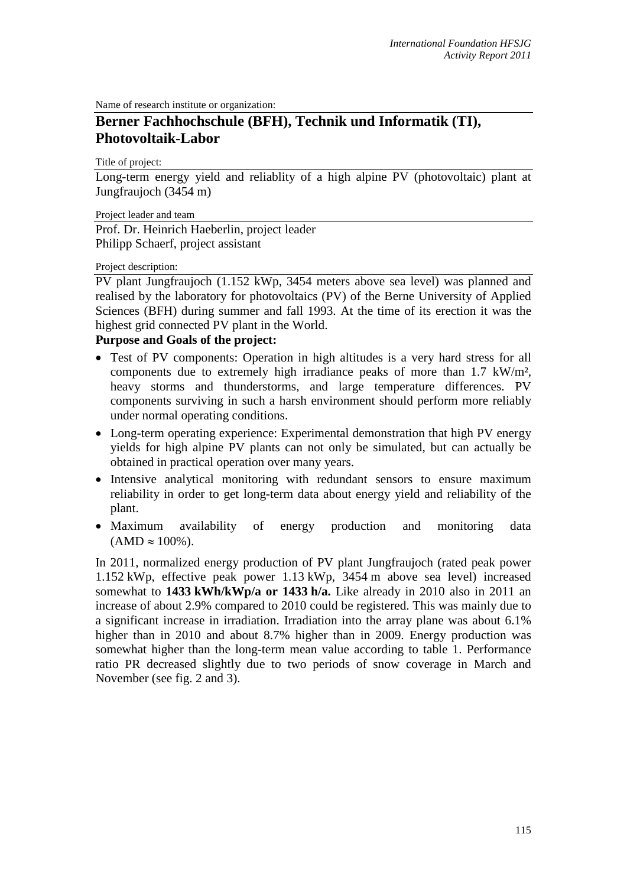Name of research institute or organization:

## **Berner Fachhochschule (BFH), Technik und Informatik (TI), Photovoltaik-Labor**

Title of project:

Long-term energy yield and reliablity of a high alpine PV (photovoltaic) plant at Jungfraujoch (3454 m)

Project leader and team

Prof. Dr. Heinrich Haeberlin, project leader Philipp Schaerf, project assistant

Project description:

PV plant Jungfraujoch (1.152 kWp, 3454 meters above sea level) was planned and realised by the laboratory for photovoltaics (PV) of the Berne University of Applied Sciences (BFH) during summer and fall 1993. At the time of its erection it was the highest grid connected PV plant in the World.

## **Purpose and Goals of the project:**

- Test of PV components: Operation in high altitudes is a very hard stress for all components due to extremely high irradiance peaks of more than 1.7 kW/m², heavy storms and thunderstorms, and large temperature differences. PV components surviving in such a harsh environment should perform more reliably under normal operating conditions.
- Long-term operating experience: Experimental demonstration that high PV energy yields for high alpine PV plants can not only be simulated, but can actually be obtained in practical operation over many years.
- Intensive analytical monitoring with redundant sensors to ensure maximum reliability in order to get long-term data about energy yield and reliability of the plant.
- Maximum availability of energy production and monitoring data  $(AMD \approx 100\%).$

In 2011, normalized energy production of PV plant Jungfraujoch (rated peak power 1.152 kWp, effective peak power 1.13 kWp, 3454 m above sea level) increased somewhat to **1433 kWh/kWp/a or 1433 h/a.** Like already in 2010 also in 2011 an increase of about 2.9% compared to 2010 could be registered. This was mainly due to a significant increase in irradiation. Irradiation into the array plane was about 6.1% higher than in 2010 and about 8.7% higher than in 2009. Energy production was somewhat higher than the long-term mean value according to table 1. Performance ratio PR decreased slightly due to two periods of snow coverage in March and November (see fig. 2 and 3).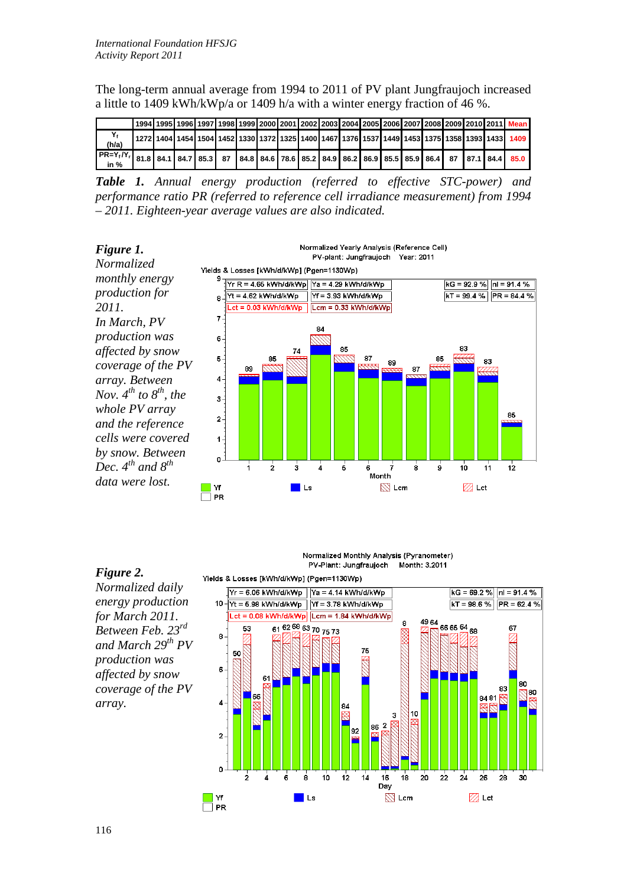The long-term annual average from 1994 to 2011 of PV plant Jungfraujoch increased a little to 1409 kWh/kWp/a or 1409 h/a with a winter energy fraction of 46 %.

|                                                                                                                                         |  |  |  |  |  |  |  |  |  | 1994   1995   1996   1997   1998   1999   2000   2001   2002   2003   2004   2005   2006   2007   2008   2009   2010   2011   Mean |
|-----------------------------------------------------------------------------------------------------------------------------------------|--|--|--|--|--|--|--|--|--|------------------------------------------------------------------------------------------------------------------------------------|
| (h/a)                                                                                                                                   |  |  |  |  |  |  |  |  |  | 1 272 1404 1454 1504 1452 1330 1372 1325 1400 1467 1376 1537 1449 1453 1375 1358 1393 1433 1409 1                                  |
| $\sqrt{\frac{PR}{PR} - Y_1}$ / $Y_1$ 81.8 84.1 84.7 85.3 87 84.8 84.6 78.6 85.2 84.9 86.2 86.9 85.5 85.9 86.4 87 87.1 84.4 85.0<br>in % |  |  |  |  |  |  |  |  |  |                                                                                                                                    |

*Table 1. Annual energy production (referred to effective STC-power) and performance ratio PR (referred to reference cell irradiance measurement) from 1994 – 2011. Eighteen-year average values are also indicated.*



## *Figure 2.*

*Normalized daily energy production for March 2011. Between Feb. 23rd and March 29th PV production was affected by snow coverage of the PV array.*



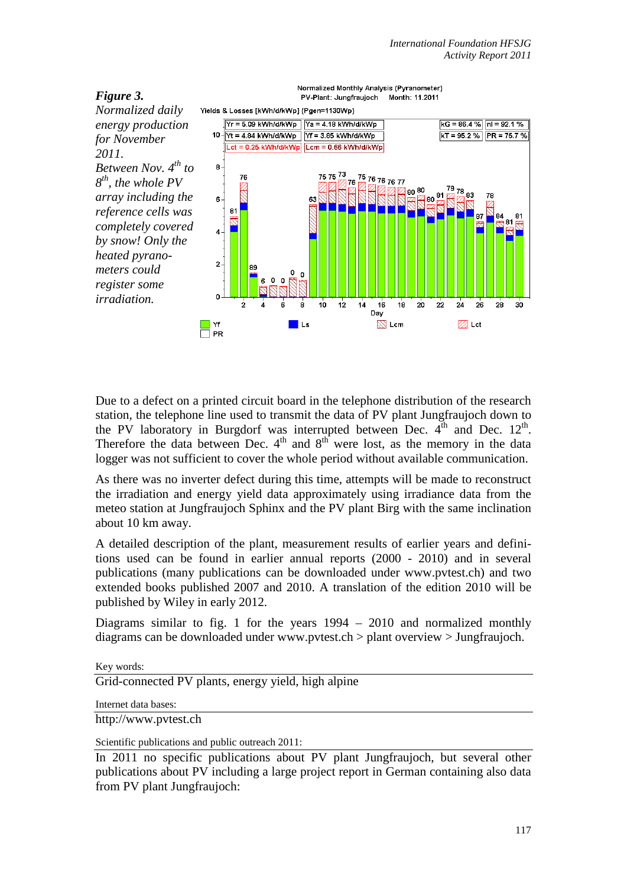

Due to a defect on a printed circuit board in the telephone distribution of the research station, the telephone line used to transmit the data of PV plant Jungfraujoch down to the PV laboratory in Burgdorf was interrupted between Dec.  $4<sup>th</sup>$  and Dec.  $12<sup>th</sup>$ . Therefore the data between Dec.  $4<sup>th</sup>$  and  $8<sup>th</sup>$  were lost, as the memory in the data logger was not sufficient to cover the whole period without available communication.

As there was no inverter defect during this time, attempts will be made to reconstruct the irradiation and energy yield data approximately using irradiance data from the meteo station at Jungfraujoch Sphinx and the PV plant Birg with the same inclination about 10 km away.

A detailed description of the plant, measurement results of earlier years and definitions used can be found in earlier annual reports (2000 - 2010) and in several publications (many publications can be downloaded under www.pvtest.ch) and two extended books published 2007 and 2010. A translation of the edition 2010 will be published by Wiley in early 2012.

Diagrams similar to fig. 1 for the years 1994 – 2010 and normalized monthly diagrams can be downloaded under www.pvtest.ch > plant overview > Jungfraujoch.

Key words:

Grid-connected PV plants, energy yield, high alpine

Internet data bases:

http://www.pvtest.ch

Scientific publications and public outreach 2011:

In 2011 no specific publications about PV plant Jungfraujoch, but several other publications about PV including a large project report in German containing also data from PV plant Jungfraujoch: